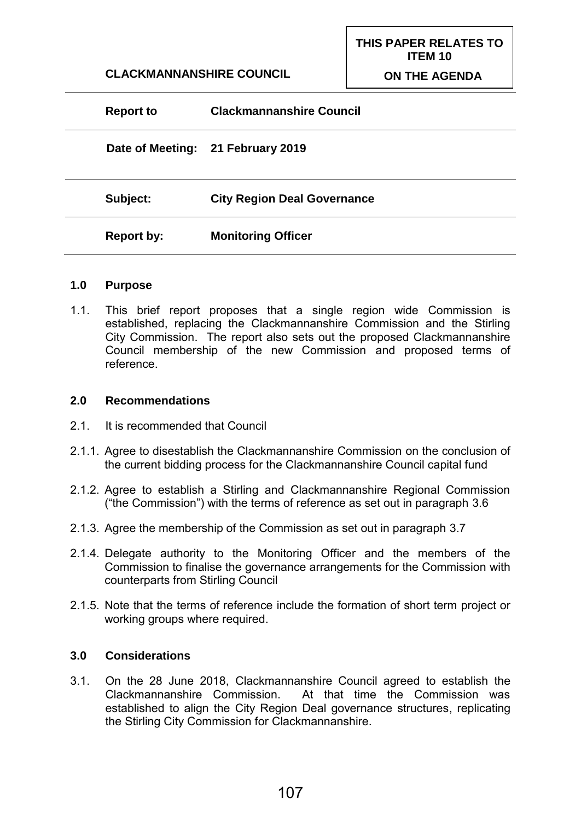**CLACKMANNANSHIRE COUNCIL**

**THIS PAPER RELATES TO ITEM 10 ON THE AGENDA**

| Date of Meeting: 21 February 2019<br>Subject:<br><b>City Region Deal Governance</b> | <b>Clackmannanshire Council</b> | <b>Report to</b> |
|-------------------------------------------------------------------------------------|---------------------------------|------------------|
|                                                                                     |                                 |                  |
|                                                                                     |                                 |                  |
| <b>Monitoring Officer</b><br><b>Report by:</b>                                      |                                 |                  |

#### **1.0 Purpose**

1.1. This brief report proposes that a single region wide Commission is established, replacing the Clackmannanshire Commission and the Stirling City Commission. The report also sets out the proposed Clackmannanshire Council membership of the new Commission and proposed terms of reference.

#### **2.0 Recommendations**

- 2.1. It is recommended that Council
- 2.1.1. Agree to disestablish the Clackmannanshire Commission on the conclusion of the current bidding process for the Clackmannanshire Council capital fund
- 2.1.2. Agree to establish a Stirling and Clackmannanshire Regional Commission ("the Commission") with the terms of reference as set out in paragraph 3.6
- 2.1.3. Agree the membership of the Commission as set out in paragraph 3.7
- 2.1.4. Delegate authority to the Monitoring Officer and the members of the Commission to finalise the governance arrangements for the Commission with counterparts from Stirling Council
- 2.1.5. Note that the terms of reference include the formation of short term project or working groups where required.

### **3.0 Considerations**

3.1. On the 28 June 2018, Clackmannanshire Council agreed to establish the Clackmannanshire Commission. At that time the Commission was established to align the City Region Deal governance structures, replicating the Stirling City Commission for Clackmannanshire.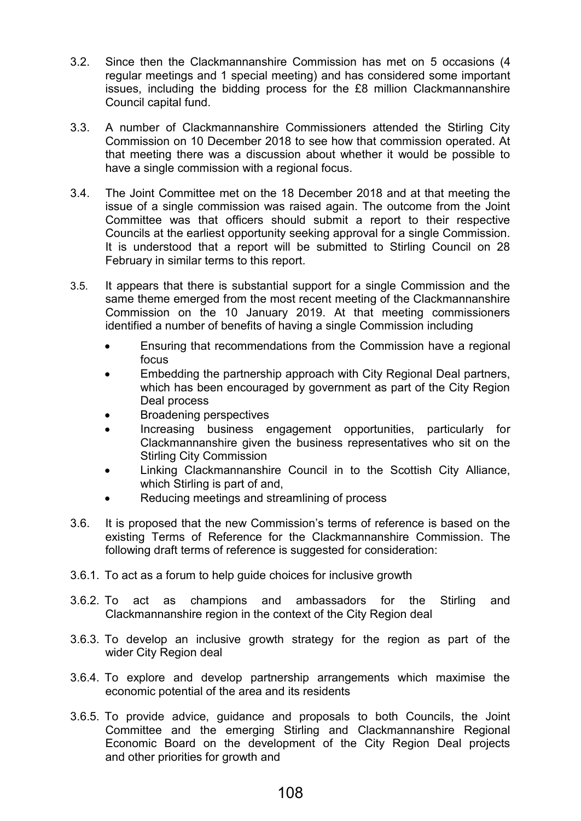- 3.2. Since then the Clackmannanshire Commission has met on 5 occasions (4 regular meetings and 1 special meeting) and has considered some important issues, including the bidding process for the £8 million Clackmannanshire Council capital fund.
- 3.3. A number of Clackmannanshire Commissioners attended the Stirling City Commission on 10 December 2018 to see how that commission operated. At that meeting there was a discussion about whether it would be possible to have a single commission with a regional focus.
- 3.4. The Joint Committee met on the 18 December 2018 and at that meeting the issue of a single commission was raised again. The outcome from the Joint Committee was that officers should submit a report to their respective Councils at the earliest opportunity seeking approval for a single Commission. It is understood that a report will be submitted to Stirling Council on 28 February in similar terms to this report.
- 3.5. It appears that there is substantial support for a single Commission and the same theme emerged from the most recent meeting of the Clackmannanshire Commission on the 10 January 2019. At that meeting commissioners identified a number of benefits of having a single Commission including
	- Ensuring that recommendations from the Commission have a regional focus
	- Embedding the partnership approach with City Regional Deal partners, which has been encouraged by government as part of the City Region Deal process
	- Broadening perspectives
	- Increasing business engagement opportunities, particularly for Clackmannanshire given the business representatives who sit on the Stirling City Commission
	- Linking Clackmannanshire Council in to the Scottish City Alliance, which Stirling is part of and,
	- Reducing meetings and streamlining of process
- 3.6. It is proposed that the new Commission's terms of reference is based on the existing Terms of Reference for the Clackmannanshire Commission. The following draft terms of reference is suggested for consideration:
- 3.6.1. To act as a forum to help guide choices for inclusive growth
- 3.6.2. To act as champions and ambassadors for the Stirling and Clackmannanshire region in the context of the City Region deal
- 3.6.3. To develop an inclusive growth strategy for the region as part of the wider City Region deal
- 3.6.4. To explore and develop partnership arrangements which maximise the economic potential of the area and its residents
- 3.6.5. To provide advice, guidance and proposals to both Councils, the Joint Committee and the emerging Stirling and Clackmannanshire Regional Economic Board on the development of the City Region Deal projects and other priorities for growth and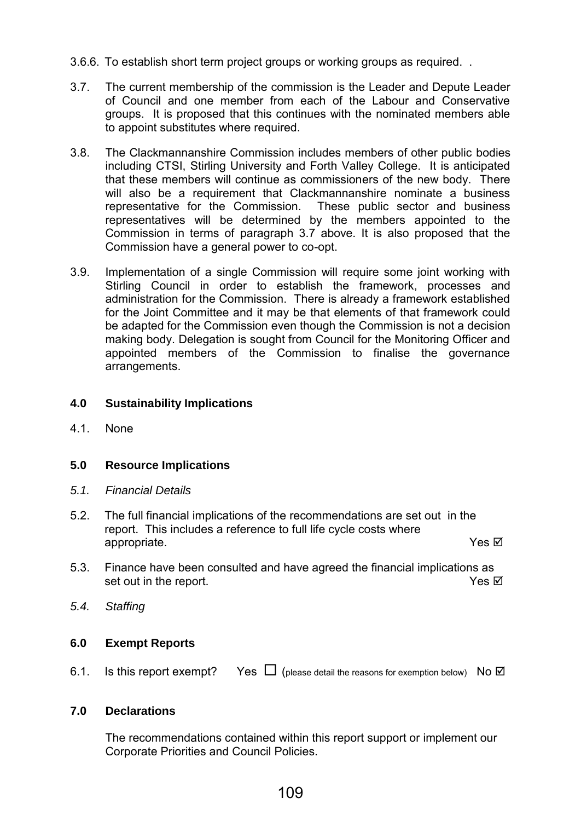- 3.6.6. To establish short term project groups or working groups as required. .
- 3.7. The current membership of the commission is the Leader and Depute Leader of Council and one member from each of the Labour and Conservative groups. It is proposed that this continues with the nominated members able to appoint substitutes where required.
- 3.8. The Clackmannanshire Commission includes members of other public bodies including CTSI, Stirling University and Forth Valley College. It is anticipated that these members will continue as commissioners of the new body. There will also be a requirement that Clackmannanshire nominate a business representative for the Commission. These public sector and business representatives will be determined by the members appointed to the Commission in terms of paragraph 3.7 above. It is also proposed that the Commission have a general power to co-opt.
- 3.9. Implementation of a single Commission will require some joint working with Stirling Council in order to establish the framework, processes and administration for the Commission. There is already a framework established for the Joint Committee and it may be that elements of that framework could be adapted for the Commission even though the Commission is not a decision making body. Delegation is sought from Council for the Monitoring Officer and appointed members of the Commission to finalise the governance arrangements.

## **4.0 Sustainability Implications**

4.1. None

## **5.0 Resource Implications**

- *5.1. Financial Details*
- 5.2. The full financial implications of the recommendations are set out in the report. This includes a reference to full life cycle costs where appropriate. Yes ⊠
- 5.3. Finance have been consulted and have agreed the financial implications as set out in the report. The result of the report.
- *5.4. Staffing*

## **6.0 Exempt Reports**

6.1. Is this report exempt? Yes  $\Box$  (please detail the reasons for exemption below) No  $\Box$ 

# **7.0 Declarations**

The recommendations contained within this report support or implement our Corporate Priorities and Council Policies.